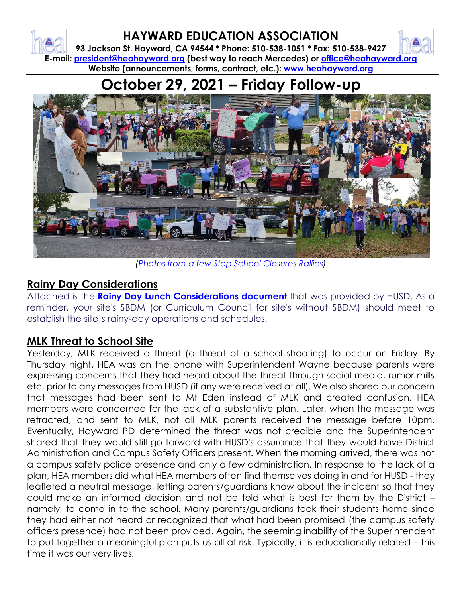## **HAYWARD EDUCATION ASSOCIATION**

**93 Jackson St. Hayward, CA 94544 \* Phone: 510-538-1051 \* Fax: 510-538-9427 E-mail: [president@heahayward.org](mailto:president@heahayward.org) (best way to reach Mercedes) or [office@heahayward.org](mailto:office@heahayward.org) Website (announcements, forms, contract, etc.): [www.heahayward.org](http://www.heahayward.org/)**

# **October 29, 2021 – Friday Follow-up**



*[\(Photos from a few Stop School Closures](https://drive.google.com/drive/folders/1JtqDF28IdQ3EZ6Hg06B9xHZpmax8sXDK?usp=sharing) Rallies)*

#### **Rainy Day Considerations**

Attached is the **[Rainy Day Lunch Considerations document](https://drive.google.com/file/d/11euKIwTwiZlo8uKf_z0N-SSuUDYsPxA-/view?usp=sharing)** that was provided by HUSD. As a reminder, your site's SBDM (or Curriculum Council for site's without SBDM) should meet to establish the site's rainy-day operations and schedules.

#### **MLK Threat to School Site**

Yesterday, MLK received a threat (a threat of a school shooting) to occur on Friday. By Thursday night, HEA was on the phone with Superintendent Wayne because parents were expressing concerns that they had heard about the threat through social media, rumor mills etc. prior to any messages from HUSD (if any were received at all). We also shared our concern that messages had been sent to Mt Eden instead of MLK and created confusion. HEA members were concerned for the lack of a substantive plan. Later, when the message was retracted, and sent to MLK, not all MLK parents received the message before 10pm. Eventually, Hayward PD determined the threat was not credible and the Superintendent shared that they would still go forward with HUSD's assurance that they would have District Administration and Campus Safety Officers present. When the morning arrived, there was not a campus safety police presence and only a few administration. In response to the lack of a plan, HEA members did what HEA members often find themselves doing in and for HUSD - they leafleted a neutral message, letting parents/guardians know about the incident so that they could make an informed decision and not be told what is best for them by the District – namely, to come in to the school. Many parents/guardians took their students home since they had either not heard or recognized that what had been promised (the campus safety officers presence) had not been provided. Again, the seeming inability of the Superintendent to put together a meaningful plan puts us all at risk. Typically, it is educationally related – this time it was our very lives.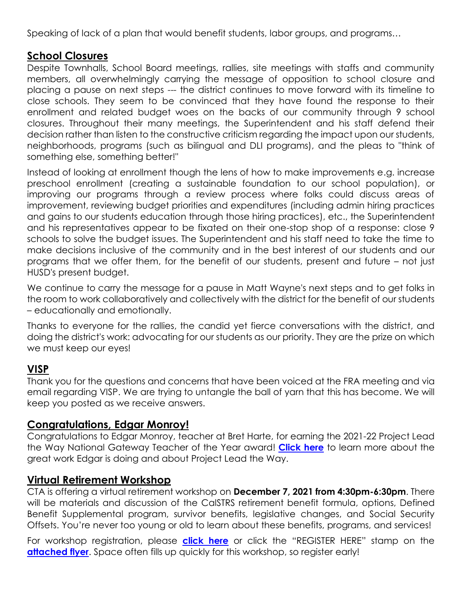Speaking of lack of a plan that would benefit students, labor groups, and programs…

#### **School Closures**

Despite Townhalls, School Board meetings, rallies, site meetings with staffs and community members, all overwhelmingly carrying the message of opposition to school closure and placing a pause on next steps --- the district continues to move forward with its timeline to close schools. They seem to be convinced that they have found the response to their enrollment and related budget woes on the backs of our community through 9 school closures. Throughout their many meetings, the Superintendent and his staff defend their decision rather than listen to the constructive criticism regarding the impact upon our students, neighborhoods, programs (such as bilingual and DLI programs), and the pleas to "think of something else, something better!"

Instead of looking at enrollment though the lens of how to make improvements e.g. increase preschool enrollment (creating a sustainable foundation to our school population), or improving our programs through a review process where folks could discuss areas of improvement, reviewing budget priorities and expenditures (including admin hiring practices and gains to our students education through those hiring practices), etc., the Superintendent and his representatives appear to be fixated on their one-stop shop of a response: close 9 schools to solve the budget issues. The Superintendent and his staff need to take the time to make decisions inclusive of the community and in the best interest of our students and our programs that we offer them, for the benefit of our students, present and future – not just HUSD's present budget.

We continue to carry the message for a pause in Matt Wayne's next steps and to get folks in the room to work collaboratively and collectively with the district for the benefit of our students – educationally and emotionally.

Thanks to everyone for the rallies, the candid yet fierce conversations with the district, and doing the district's work: advocating for our students as our priority. They are the prize on which we must keep our eyes!

#### **VISP**

Thank you for the questions and concerns that have been voiced at the FRA meeting and via email regarding VISP. We are trying to untangle the ball of yarn that this has become. We will keep you posted as we receive answers.

#### **Congratulations, Edgar Monroy!**

Congratulations to Edgar Monroy, teacher at Bret Harte, for earning the 2021-22 Project Lead the Way National Gateway Teacher of the Year award! **[Click here](https://drive.google.com/file/d/1qFWf0ygL5jjwnc3TGfAFN5bcC1Z2UY-e/view?usp=sharing)** to learn more about the great work Edgar is doing and about Project Lead the Way.

#### **Virtual Retirement Workshop**

CTA is offering a virtual retirement workshop on **December 7, 2021 from 4:30pm-6:30pm**. There will be materials and discussion of the CalSTRS retirement benefit formula, options, Defined Benefit Supplemental program, survivor benefits, legislative changes, and Social Security Offsets. You're never too young or old to learn about these benefits, programs, and services!

For workshop registration, please **[click here](https://cta.webex.com/mw3300/mywebex/default.do?nomenu=true&siteurl=cta&service=6&rnd=0.5926730919275174&main_url=https%3A%2F%2Fcta.webex.com%2Fec3300%2Feventcenter%2Fevent%2FeventAction.do%3FtheAction%3Ddetail%26%26%26EMK%3D4832534b00000005b79dcb3867c763a5ace634325b24af0abf0c0d48822ffb1408f8ce18c86d4d4f%26siteurl%3Dcta%26confViewID%3D209363988969958301%26encryptTicket%3DSDJTSwAAAAXS47Jj-Efn6OTce4GfLRNbklZMK04SjNp4-JFJEzdS3Q2%26)** or click the "REGISTER HERE" stamp on the [attached flyer](https://drive.google.com/file/d/1cvjJchBfU23hmYuHmt7YwN7yDbLQbTtR/view?usp=sharing). Space often fills up quickly for this workshop, so register early!